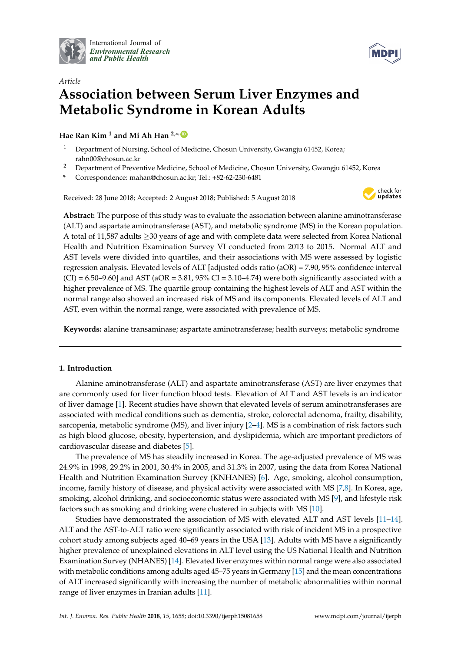

International Journal of *[Environmental Research](http://www.mdpi.com/journal/ijerph) and Public Health*



# *Article* **Association between Serum Liver Enzymes and Metabolic Syndrome in Korean Adults**

**Hae Ran Kim <sup>1</sup> and Mi Ah Han 2,\* [ID](https://orcid.org/0000-0003-1213-6952)**

- <sup>1</sup> Department of Nursing, School of Medicine, Chosun University, Gwangju 61452, Korea; rahn00@chosun.ac.kr
- <sup>2</sup> Department of Preventive Medicine, School of Medicine, Chosun University, Gwangju 61452, Korea
- **\*** Correspondence: mahan@chosun.ac.kr; Tel.: +82-62-230-6481

Received: 28 June 2018; Accepted: 2 August 2018; Published: 5 August 2018



**Abstract:** The purpose of this study was to evaluate the association between alanine aminotransferase (ALT) and aspartate aminotransferase (AST), and metabolic syndrome (MS) in the Korean population. A total of 11,587 adults ≥30 years of age and with complete data were selected from Korea National Health and Nutrition Examination Survey VI conducted from 2013 to 2015. Normal ALT and AST levels were divided into quartiles, and their associations with MS were assessed by logistic regression analysis. Elevated levels of ALT [adjusted odds ratio (aOR) = 7.90, 95% confidence interval  $(CI) = 6.50-9.60$ ] and AST (aOR = 3.81, 95% CI = 3.10-4.74) were both significantly associated with a higher prevalence of MS. The quartile group containing the highest levels of ALT and AST within the normal range also showed an increased risk of MS and its components. Elevated levels of ALT and AST, even within the normal range, were associated with prevalence of MS.

**Keywords:** alanine transaminase; aspartate aminotransferase; health surveys; metabolic syndrome

# **1. Introduction**

Alanine aminotransferase (ALT) and aspartate aminotransferase (AST) are liver enzymes that are commonly used for liver function blood tests. Elevation of ALT and AST levels is an indicator of liver damage [\[1\]](#page-6-0). Recent studies have shown that elevated levels of serum aminotransferases are associated with medical conditions such as dementia, stroke, colorectal adenoma, frailty, disability, sarcopenia, metabolic syndrome (MS), and liver injury [\[2–](#page-6-1)[4\]](#page-6-2). MS is a combination of risk factors such as high blood glucose, obesity, hypertension, and dyslipidemia, which are important predictors of cardiovascular disease and diabetes [\[5\]](#page-6-3).

The prevalence of MS has steadily increased in Korea. The age-adjusted prevalence of MS was 24.9% in 1998, 29.2% in 2001, 30.4% in 2005, and 31.3% in 2007, using the data from Korea National Health and Nutrition Examination Survey (KNHANES) [\[6\]](#page-6-4). Age, smoking, alcohol consumption, income, family history of disease, and physical activity were associated with MS [\[7,](#page-6-5)[8\]](#page-6-6). In Korea, age, smoking, alcohol drinking, and socioeconomic status were associated with MS [\[9\]](#page-6-7), and lifestyle risk factors such as smoking and drinking were clustered in subjects with MS [\[10\]](#page-6-8).

Studies have demonstrated the association of MS with elevated ALT and AST levels [\[11–](#page-6-9)[14\]](#page-7-0). ALT and the AST-to-ALT ratio were significantly associated with risk of incident MS in a prospective cohort study among subjects aged 40–69 years in the USA [\[13\]](#page-7-1). Adults with MS have a significantly higher prevalence of unexplained elevations in ALT level using the US National Health and Nutrition Examination Survey (NHANES) [\[14\]](#page-7-0). Elevated liver enzymes within normal range were also associated with metabolic conditions among adults aged 45–75 years in Germany [\[15\]](#page-7-2) and the mean concentrations of ALT increased significantly with increasing the number of metabolic abnormalities within normal range of liver enzymes in Iranian adults [\[11\]](#page-6-9).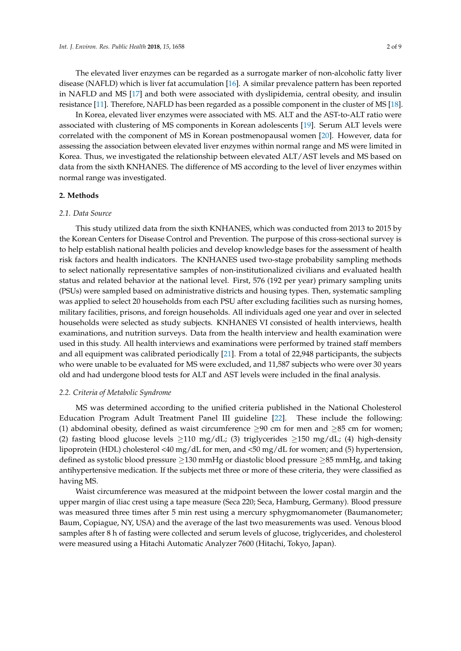The elevated liver enzymes can be regarded as a surrogate marker of non-alcoholic fatty liver disease (NAFLD) which is liver fat accumulation [\[16\]](#page-7-3). A similar prevalence pattern has been reported in NAFLD and MS [\[17\]](#page-7-4) and both were associated with dyslipidemia, central obesity, and insulin resistance [\[11\]](#page-6-9). Therefore, NAFLD has been regarded as a possible component in the cluster of MS [\[18\]](#page-7-5).

In Korea, elevated liver enzymes were associated with MS. ALT and the AST-to-ALT ratio were associated with clustering of MS components in Korean adolescents [\[19\]](#page-7-6). Serum ALT levels were correlated with the component of MS in Korean postmenopausal women [\[20\]](#page-7-7). However, data for assessing the association between elevated liver enzymes within normal range and MS were limited in Korea. Thus, we investigated the relationship between elevated ALT/AST levels and MS based on data from the sixth KNHANES. The difference of MS according to the level of liver enzymes within normal range was investigated.

## **2. Methods**

#### *2.1. Data Source*

This study utilized data from the sixth KNHANES, which was conducted from 2013 to 2015 by the Korean Centers for Disease Control and Prevention. The purpose of this cross-sectional survey is to help establish national health policies and develop knowledge bases for the assessment of health risk factors and health indicators. The KNHANES used two-stage probability sampling methods to select nationally representative samples of non-institutionalized civilians and evaluated health status and related behavior at the national level. First, 576 (192 per year) primary sampling units (PSUs) were sampled based on administrative districts and housing types. Then, systematic sampling was applied to select 20 households from each PSU after excluding facilities such as nursing homes, military facilities, prisons, and foreign households. All individuals aged one year and over in selected households were selected as study subjects. KNHANES VI consisted of health interviews, health examinations, and nutrition surveys. Data from the health interview and health examination were used in this study. All health interviews and examinations were performed by trained staff members and all equipment was calibrated periodically [\[21\]](#page-7-8). From a total of 22,948 participants, the subjects who were unable to be evaluated for MS were excluded, and 11,587 subjects who were over 30 years old and had undergone blood tests for ALT and AST levels were included in the final analysis.

## *2.2. Criteria of Metabolic Syndrome*

MS was determined according to the unified criteria published in the National Cholesterol Education Program Adult Treatment Panel III guideline [\[22\]](#page-7-9). These include the following: (1) abdominal obesity, defined as waist circumference  $\geq$ 90 cm for men and  $\geq$ 85 cm for women; (2) fasting blood glucose levels  $\geq$ 110 mg/dL; (3) triglycerides  $\geq$ 150 mg/dL; (4) high-density lipoprotein (HDL) cholesterol <40 mg/dL for men, and <50 mg/dL for women; and (5) hypertension, defined as systolic blood pressure ≥130 mmHg or diastolic blood pressure ≥85 mmHg, and taking antihypertensive medication. If the subjects met three or more of these criteria, they were classified as having MS.

Waist circumference was measured at the midpoint between the lower costal margin and the upper margin of iliac crest using a tape measure (Seca 220; Seca, Hamburg, Germany). Blood pressure was measured three times after 5 min rest using a mercury sphygmomanometer (Baumanometer; Baum, Copiague, NY, USA) and the average of the last two measurements was used. Venous blood samples after 8 h of fasting were collected and serum levels of glucose, triglycerides, and cholesterol were measured using a Hitachi Automatic Analyzer 7600 (Hitachi, Tokyo, Japan).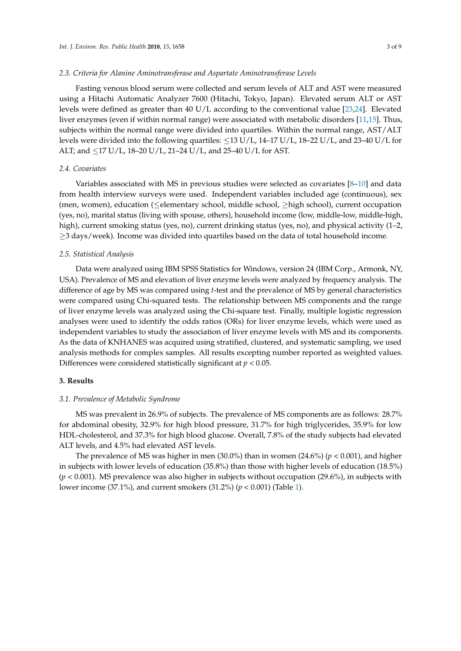## *2.3. Criteria for Alanine Aminotransferase and Aspartate Aminotransferase Levels*

Fasting venous blood serum were collected and serum levels of ALT and AST were measured using a Hitachi Automatic Analyzer 7600 (Hitachi, Tokyo, Japan). Elevated serum ALT or AST levels were defined as greater than 40 U/L according to the conventional value [\[23,](#page-7-10)[24\]](#page-7-11). Elevated liver enzymes (even if within normal range) were associated with metabolic disorders [\[11,](#page-6-9)[15\]](#page-7-2). Thus, subjects within the normal range were divided into quartiles. Within the normal range, AST/ALT levels were divided into the following quartiles:  $\leq$ 13 U/L, 14–17 U/L, 18–22 U/L, and 23–40 U/L for ALT; and ≤17 U/L, 18–20 U/L, 21–24 U/L, and 25–40 U/L for AST.

## *2.4. Covariates*

Variables associated with MS in previous studies were selected as covariates [\[8](#page-6-6)[–10\]](#page-6-8) and data from health interview surveys were used. Independent variables included age (continuous), sex (men, women), education (≤elementary school, middle school, ≥high school), current occupation (yes, no), marital status (living with spouse, others), household income (low, middle-low, middle-high, high), current smoking status (yes, no), current drinking status (yes, no), and physical activity (1–2, ≥3 days/week). Income was divided into quartiles based on the data of total household income.

### *2.5. Statistical Analysis*

Data were analyzed using IBM SPSS Statistics for Windows, version 24 (IBM Corp., Armonk, NY, USA). Prevalence of MS and elevation of liver enzyme levels were analyzed by frequency analysis. The difference of age by MS was compared using *t*-test and the prevalence of MS by general characteristics were compared using Chi-squared tests. The relationship between MS components and the range of liver enzyme levels was analyzed using the Chi-square test. Finally, multiple logistic regression analyses were used to identify the odds ratios (ORs) for liver enzyme levels, which were used as independent variables to study the association of liver enzyme levels with MS and its components. As the data of KNHANES was acquired using stratified, clustered, and systematic sampling, we used analysis methods for complex samples. All results excepting number reported as weighted values. Differences were considered statistically significant at *p* < 0.05.

#### **3. Results**

## *3.1. Prevalence of Metabolic Syndrome*

MS was prevalent in 26.9% of subjects. The prevalence of MS components are as follows: 28.7% for abdominal obesity, 32.9% for high blood pressure, 31.7% for high triglycerides, 35.9% for low HDL-cholesterol, and 37.3% for high blood glucose. Overall, 7.8% of the study subjects had elevated ALT levels, and 4.5% had elevated AST levels.

The prevalence of MS was higher in men (30.0%) than in women (24.6%) (*p* < 0.001), and higher in subjects with lower levels of education (35.8%) than those with higher levels of education (18.5%) (*p* < 0.001). MS prevalence was also higher in subjects without occupation (29.6%), in subjects with lower income (37.1%), and current smokers (31.2%) (*p* < 0.001) (Table [1\)](#page-3-0).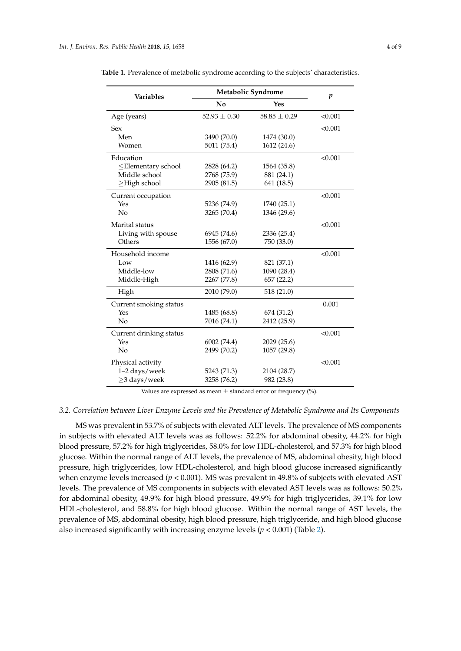| <b>Variables</b>         | Metabolic Syndrome | $\boldsymbol{p}$ |         |
|--------------------------|--------------------|------------------|---------|
|                          | No                 | Yes              |         |
| Age (years)              | $52.93 \pm 0.30$   | $58.85 \pm 0.29$ | < 0.001 |
| <b>Sex</b>               |                    |                  | < 0.001 |
| Men                      | 3490 (70.0)        | 1474 (30.0)      |         |
| Women                    | 5011 (75.4)        | 1612 (24.6)      |         |
| Education                |                    |                  | < 0.001 |
| $\leq$ Elementary school | 2828 (64.2)        | 1564 (35.8)      |         |
| Middle school            | 2768 (75.9)        | 881 (24.1)       |         |
| $\geq$ High school       | 2905 (81.5)        | 641 (18.5)       |         |
| Current occupation       |                    |                  | < 0.001 |
| Yes                      | 5236 (74.9)        | 1740 (25.1)      |         |
| No                       | 3265 (70.4)        | 1346 (29.6)      |         |
| Marital status           |                    |                  | < 0.001 |
| Living with spouse       | 6945 (74.6)        | 2336 (25.4)      |         |
| Others                   | 1556 (67.0)        | 750 (33.0)       |         |
| Household income         |                    |                  | < 0.001 |
| Low                      | 1416 (62.9)        | 821 (37.1)       |         |
| Middle-low               | 2808 (71.6)        | 1090 (28.4)      |         |
| Middle-High              | 2267 (77.8)        | 657 (22.2)       |         |
| High                     | 2010 (79.0)        | 518 (21.0)       |         |
| Current smoking status   |                    |                  | 0.001   |
| Yes                      | 1485 (68.8)        | 674 (31.2)       |         |
| No                       | 7016 (74.1)        | 2412 (25.9)      |         |
| Current drinking status  |                    |                  | < 0.001 |
| Yes                      | 6002 (74.4)        | 2029 (25.6)      |         |
| No                       | 2499 (70.2)        | 1057 (29.8)      |         |
| Physical activity        |                    |                  | < 0.001 |
| 1-2 days/week            | 5243 (71.3)        | 2104 (28.7)      |         |
| $\geq$ 3 days/week       | 3258 (76.2)        | 982 (23.8)       |         |

<span id="page-3-0"></span>**Table 1.** Prevalence of metabolic syndrome according to the subjects' characteristics.

Values are expressed as mean  $\pm$  standard error or frequency  $(\%)$ .

# *3.2. Correlation between Liver Enzyme Levels and the Prevalence of Metabolic Syndrome and Its Components*

MS was prevalent in 53.7% of subjects with elevated ALT levels. The prevalence of MS components in subjects with elevated ALT levels was as follows: 52.2% for abdominal obesity, 44.2% for high blood pressure, 57.2% for high triglycerides, 58.0% for low HDL-cholesterol, and 57.3% for high blood glucose. Within the normal range of ALT levels, the prevalence of MS, abdominal obesity, high blood pressure, high triglycerides, low HDL-cholesterol, and high blood glucose increased significantly when enzyme levels increased ( $p < 0.001$ ). MS was prevalent in 49.8% of subjects with elevated AST levels. The prevalence of MS components in subjects with elevated AST levels was as follows: 50.2% for abdominal obesity, 49.9% for high blood pressure, 49.9% for high triglycerides, 39.1% for low HDL-cholesterol, and 58.8% for high blood glucose. Within the normal range of AST levels, the prevalence of MS, abdominal obesity, high blood pressure, high triglyceride, and high blood glucose also increased significantly with increasing enzyme levels  $(p < 0.001)$  (Table [2\)](#page-4-0).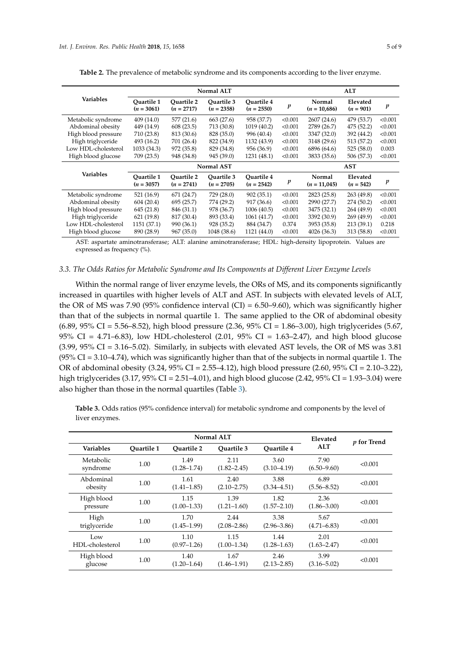|                     | <b>Normal ALT</b>          |                                   |                            |                            |         | <b>ALT</b>               |                         |         |
|---------------------|----------------------------|-----------------------------------|----------------------------|----------------------------|---------|--------------------------|-------------------------|---------|
| <b>Variables</b>    | Ouartile 1<br>$(n = 3061)$ | <b>Ouartile 2</b><br>$(n = 2717)$ | Ouartile 3<br>$(n = 2358)$ | Ouartile 4<br>$(n = 2550)$ | p       | Normal<br>$(n = 10,686)$ | Elevated<br>$(n = 901)$ | p       |
| Metabolic syndrome  | 409 (14.0)                 | 577 (21.6)                        | 663 (27.6)                 | 958 (37.7)                 | < 0.001 | 2607 (24.6)              | 479 (53.7)              | < 0.001 |
| Abdominal obesity   | 449 (14.9)                 | 608(23.5)                         | 713 (30.8)                 | 1019 (40.2)                | < 0.001 | 2789 (26.7)              | 475 (52.2)              | < 0.001 |
| High blood pressure | 710 (23.8)                 | 813 (30.6)                        | 828 (35.0)                 | 996 (40.4)                 | < 0.001 | 3347 (32.0)              | 392 (44.2)              | < 0.001 |
| High triglyceride   | 493 (16.2)                 | 701 (26.4)                        | 822 (34.9)                 | 1132 (43.9)                | < 0.001 | 3148 (29.6)              | 513 (57.2)              | < 0.001 |
| Low HDL-cholesterol | 1033 (34.3)                | 972 (35.8)                        | 829 (34.8)                 | 956 (36.9)                 | < 0.001 | 6896 (64.6)              | 525(58.0)               | 0.003   |
| High blood glucose  | 709 (23.5)                 | 948 (34.8)                        | 945 (39.0)                 | 1231 (48.1)                | < 0.001 | 3833 (35.6)              | 506 (57.3)              | < 0.001 |
|                     | <b>Normal AST</b>          |                                   |                            |                            |         | <b>AST</b>               |                         |         |
| <b>Variables</b>    | Ouartile 1<br>$(n = 3057)$ | <b>Ouartile 2</b><br>$(n = 2741)$ | Ouartile 3<br>$(n = 2705)$ | Ouartile 4<br>$(n = 2542)$ | p       | Normal<br>$(n = 11,045)$ | Elevated<br>$(n = 542)$ | p       |
| Metabolic syndrome  | 521 (16.9)                 | 671 (24.7)                        | 729 (28.0)                 | 902(35.1)                  | < 0.001 | 2823 (25.8)              | 263 (49.8)              | < 0.001 |
| Abdominal obesity   | 604(20.4)                  | 695 (25.7)                        | 774 (29.2)                 | 917 (36.6)                 | < 0.001 | 2990 (27.7)              | 274 (50.2)              | < 0.001 |
| High blood pressure | 645 (21.8)                 | 846 (31.1)                        | 978 (36.7)                 | 1006 (40.5)                | < 0.001 | 3475 (32.1)              | 264 (49.9)              | < 0.001 |
| High triglyceride   | 621(19.8)                  | 817 (30.4)                        | 893 (33.4)                 | 1061 (41.7)                | < 0.001 | 3392 (30.9)              | 269(49.9)               | < 0.001 |
|                     |                            |                                   |                            |                            |         |                          |                         |         |
| Low HDL-cholesterol | 1151 (37.1)                | 990 (36.1)                        | 928 (35.2)                 | 884 (34.7)                 | 0.374   | 3953 (35.8)              | 213 (39.1)              | 0.218   |
| High blood glucose  | 890 (28.9)                 | 967(35.0)                         | 1048 (38.6)                | 1121 (44.0)                | < 0.001 | 4026 (36.3)              | 313 (58.8)              | < 0.001 |

<span id="page-4-0"></span>**Table 2.** The prevalence of metabolic syndrome and its components according to the liver enzyme.

AST: aspartate aminotransferase; ALT: alanine aminotransferase; HDL: high-density lipoprotein. Values are expressed as frequency (%).

## *3.3. The Odds Ratios for Metabolic Syndrome and Its Components at Different Liver Enzyme Levels*

Within the normal range of liver enzyme levels, the ORs of MS, and its components significantly increased in quartiles with higher levels of ALT and AST. In subjects with elevated levels of ALT, the OR of MS was 7.90 (95% confidence interval (CI) =  $6.50-9.60$ ), which was significantly higher than that of the subjects in normal quartile 1. The same applied to the OR of abdominal obesity (6.89, 95% CI = 5.56–8.52), high blood pressure (2.36, 95% CI = 1.86–3.00), high triglycerides (5.67, 95% CI = 4.71–6.83), low HDL-cholesterol  $(2.01, 95\%$  CI = 1.63–2.47), and high blood glucose  $(3.99, 95\% \text{ CI} = 3.16 - 5.02)$ . Similarly, in subjects with elevated AST levels, the OR of MS was 3.81  $(95\% \text{ CI} = 3.10 - 4.74)$ , which was significantly higher than that of the subjects in normal quartile 1. The OR of abdominal obesity (3.24, 95% CI = 2.55–4.12), high blood pressure (2.60, 95% CI = 2.10–3.22), high triglycerides (3.17, 95% CI = 2.51–4.01), and high blood glucose (2.42, 95% CI = 1.93–3.04) were also higher than those in the normal quartiles (Table [3\)](#page-5-0).

**Table 3.** Odds ratios (95% confidence interval) for metabolic syndrome and components by the level of liver enzymes.

| Normal ALT             |            |                         |                         |                         | Elevated                | p for Trend |  |
|------------------------|------------|-------------------------|-------------------------|-------------------------|-------------------------|-------------|--|
| <b>Variables</b>       | Ouartile 1 | Ouartile 2              | Ouartile 3              | <b>Ouartile 4</b>       | <b>ALT</b>              |             |  |
| Metabolic<br>syndrome  | 1.00       | 1.49<br>$(1.28 - 1.74)$ | 2.11<br>$(1.82 - 2.45)$ | 3.60<br>$(3.10 - 4.19)$ | 7.90<br>$(6.50 - 9.60)$ | < 0.001     |  |
| Abdominal<br>obesity   | 1.00       | 1.61<br>$(1.41 - 1.85)$ | 2.40<br>$(2.10 - 2.75)$ | 3.88<br>$(3.34 - 4.51)$ | 6.89<br>$(5.56 - 8.52)$ | < 0.001     |  |
| High blood<br>pressure | 1.00       | 1.15<br>$(1.00-1.33)$   | 1.39<br>$(1.21 - 1.60)$ | 1.82<br>$(1.57 - 2.10)$ | 2.36<br>$(1.86 - 3.00)$ | < 0.001     |  |
| High<br>triglyceride   | 1.00       | 1.70<br>$(1.45 - 1.99)$ | 2.44<br>$(2.08 - 2.86)$ | 3.38<br>$(2.96 - 3.86)$ | 5.67<br>$(4.71 - 6.83)$ | < 0.001     |  |
| Low<br>HDL-cholesterol | 1.00       | 1.10<br>$(0.97 - 1.26)$ | 1.15<br>$(1.00-1.34)$   | 1.44<br>$(1.28 - 1.63)$ | 2.01<br>$(1.63 - 2.47)$ | < 0.001     |  |
| High blood<br>glucose  | 1.00       | 1.40<br>$(1.20 - 1.64)$ | 1.67<br>$(1.46 - 1.91)$ | 2.46<br>$(2.13 - 2.85)$ | 3.99<br>$(3.16 - 5.02)$ | < 0.001     |  |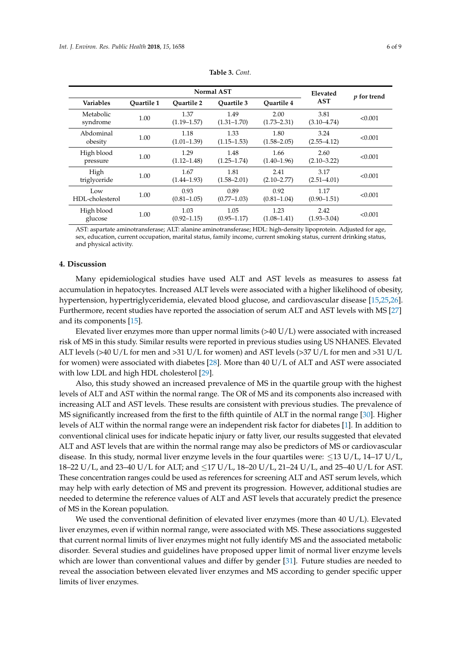<span id="page-5-0"></span>

| Normal AST             |            |                         |                         |                         | Elevated                | <i>p</i> for trend |  |
|------------------------|------------|-------------------------|-------------------------|-------------------------|-------------------------|--------------------|--|
| <b>Variables</b>       | Ouartile 1 | <b>Ouartile 2</b>       | Ouartile 3              | <b>Ouartile 4</b>       | <b>AST</b>              |                    |  |
| Metabolic<br>syndrome  | 1.00       | 1.37<br>$(1.19 - 1.57)$ | 1.49<br>$(1.31 - 1.70)$ | 2.00<br>$(1.73 - 2.31)$ | 3.81<br>$(3.10 - 4.74)$ | < 0.001            |  |
| Abdominal<br>obesity   | 1.00       | 1.18<br>$(1.01 - 1.39)$ | 1.33<br>$(1.15 - 1.53)$ | 1.80<br>$(1.58 - 2.05)$ | 3.24<br>$(2.55 - 4.12)$ | < 0.001            |  |
| High blood<br>pressure | 1.00       | 1.29<br>$(1.12 - 1.48)$ | 1.48<br>$(1.25 - 1.74)$ | 1.66<br>$(1.40 - 1.96)$ | 2.60<br>$(2.10 - 3.22)$ | < 0.001            |  |
| High<br>triglyceride   | 1.00       | 1.67<br>$(1.44 - 1.93)$ | 1.81<br>$(1.58 - 2.01)$ | 2.41<br>$(2.10 - 2.77)$ | 3.17<br>$(2.51 - 4.01)$ | < 0.001            |  |
| Low<br>HDI-cholesterol | 1.00       | 0.93<br>$(0.81 - 1.05)$ | 0.89<br>$(0.77 - 1.03)$ | 0.92<br>$(0.81 - 1.04)$ | 1.17<br>$(0.90 - 1.51)$ | < 0.001            |  |
| High blood<br>glucose  | 1.00       | 1.03<br>$(0.92 - 1.15)$ | 1.05<br>$(0.95 - 1.17)$ | 1.23<br>$(1.08 - 1.41)$ | 2.42<br>$(1.93 - 3.04)$ | < 0.001            |  |

**Table 3.** *Cont.*

AST: aspartate aminotransferase; ALT: alanine aminotransferase; HDL: high-density lipoprotein. Adjusted for age, sex, education, current occupation, marital status, family income, current smoking status, current drinking status, and physical activity.

#### **4. Discussion**

Many epidemiological studies have used ALT and AST levels as measures to assess fat accumulation in hepatocytes. Increased ALT levels were associated with a higher likelihood of obesity, hypertension, hypertriglyceridemia, elevated blood glucose, and cardiovascular disease [\[15,](#page-7-2)[25,](#page-7-12)[26\]](#page-7-13). Furthermore, recent studies have reported the association of serum ALT and AST levels with MS [\[27\]](#page-7-14) and its components [\[15\]](#page-7-2).

Elevated liver enzymes more than upper normal limits  $(>40 U/L)$  were associated with increased risk of MS in this study. Similar results were reported in previous studies using US NHANES. Elevated ALT levels (>40 U/L for men and >31 U/L for women) and AST levels (>37 U/L for men and >31 U/L for women) were associated with diabetes [\[28\]](#page-7-15). More than 40 U/L of ALT and AST were associated with low LDL and high HDL cholesterol [\[29\]](#page-7-16).

Also, this study showed an increased prevalence of MS in the quartile group with the highest levels of ALT and AST within the normal range. The OR of MS and its components also increased with increasing ALT and AST levels. These results are consistent with previous studies. The prevalence of MS significantly increased from the first to the fifth quintile of ALT in the normal range [\[30\]](#page-7-17). Higher levels of ALT within the normal range were an independent risk factor for diabetes [\[1\]](#page-6-0). In addition to conventional clinical uses for indicate hepatic injury or fatty liver, our results suggested that elevated ALT and AST levels that are within the normal range may also be predictors of MS or cardiovascular disease. In this study, normal liver enzyme levels in the four quartiles were:  $\leq$ 13 U/L, 14–17 U/L, 18–22 U/L, and 23–40 U/L for ALT; and ≤17 U/L, 18–20 U/L, 21–24 U/L, and 25–40 U/L for AST. These concentration ranges could be used as references for screening ALT and AST serum levels, which may help with early detection of MS and prevent its progression. However, additional studies are needed to determine the reference values of ALT and AST levels that accurately predict the presence of MS in the Korean population.

We used the conventional definition of elevated liver enzymes (more than 40 U/L). Elevated liver enzymes, even if within normal range, were associated with MS. These associations suggested that current normal limits of liver enzymes might not fully identify MS and the associated metabolic disorder. Several studies and guidelines have proposed upper limit of normal liver enzyme levels which are lower than conventional values and differ by gender [\[31\]](#page-7-18). Future studies are needed to reveal the association between elevated liver enzymes and MS according to gender specific upper limits of liver enzymes.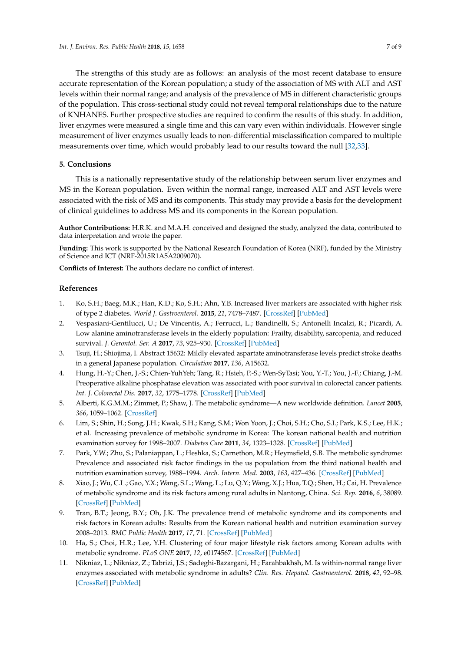The strengths of this study are as follows: an analysis of the most recent database to ensure accurate representation of the Korean population; a study of the association of MS with ALT and AST levels within their normal range; and analysis of the prevalence of MS in different characteristic groups of the population. This cross-sectional study could not reveal temporal relationships due to the nature of KNHANES. Further prospective studies are required to confirm the results of this study. In addition, liver enzymes were measured a single time and this can vary even within individuals. However single measurement of liver enzymes usually leads to non-differential misclassification compared to multiple measurements over time, which would probably lead to our results toward the null [\[32,](#page-8-0)[33\]](#page-8-1).

## **5. Conclusions**

This is a nationally representative study of the relationship between serum liver enzymes and MS in the Korean population. Even within the normal range, increased ALT and AST levels were associated with the risk of MS and its components. This study may provide a basis for the development of clinical guidelines to address MS and its components in the Korean population.

**Author Contributions:** H.R.K. and M.A.H. conceived and designed the study, analyzed the data, contributed to data interpretation and wrote the paper.

**Funding:** This work is supported by the National Research Foundation of Korea (NRF), funded by the Ministry of Science and ICT (NRF-2015R1A5A2009070).

**Conflicts of Interest:** The authors declare no conflict of interest.

## **References**

- <span id="page-6-0"></span>1. Ko, S.H.; Baeg, M.K.; Han, K.D.; Ko, S.H.; Ahn, Y.B. Increased liver markers are associated with higher risk of type 2 diabetes. *World J. Gastroenterol.* **2015**, *21*, 7478–7487. [\[CrossRef\]](http://dx.doi.org/10.3748/wjg.v21.i24.7478) [\[PubMed\]](http://www.ncbi.nlm.nih.gov/pubmed/26139993)
- <span id="page-6-1"></span>2. Vespasiani-Gentilucci, U.; De Vincentis, A.; Ferrucci, L.; Bandinelli, S.; Antonelli Incalzi, R.; Picardi, A. Low alanine aminotransferase levels in the elderly population: Frailty, disability, sarcopenia, and reduced survival. *J. Gerontol. Ser. A* **2017**, *73*, 925–930. [\[CrossRef\]](http://dx.doi.org/10.1093/gerona/glx126) [\[PubMed\]](http://www.ncbi.nlm.nih.gov/pubmed/28633440)
- 3. Tsuji, H.; Shiojima, I. Abstract 15632: Mildly elevated aspartate aminotransferase levels predict stroke deaths in a general Japanese population. *Circulation* **2017**, *136*, A15632.
- <span id="page-6-2"></span>4. Hung, H.-Y.; Chen, J.-S.; Chien-YuhYeh; Tang, R.; Hsieh, P.-S.; Wen-SyTasi; You, Y.-T.; You, J.-F.; Chiang, J.-M. Preoperative alkaline phosphatase elevation was associated with poor survival in colorectal cancer patients. *Int. J. Colorectal Dis.* **2017**, *32*, 1775–1778. [\[CrossRef\]](http://dx.doi.org/10.1007/s00384-017-2907-4) [\[PubMed\]](http://www.ncbi.nlm.nih.gov/pubmed/29030683)
- <span id="page-6-3"></span>5. Alberti, K.G.M.M.; Zimmet, P.; Shaw, J. The metabolic syndrome—A new worldwide definition. *Lancet* **2005**, *366*, 1059–1062. [\[CrossRef\]](http://dx.doi.org/10.1016/S0140-6736(05)67402-8)
- <span id="page-6-4"></span>6. Lim, S.; Shin, H.; Song, J.H.; Kwak, S.H.; Kang, S.M.; Won Yoon, J.; Choi, S.H.; Cho, S.I.; Park, K.S.; Lee, H.K.; et al. Increasing prevalence of metabolic syndrome in Korea: The korean national health and nutrition examination survey for 1998–2007. *Diabetes Care* **2011**, *34*, 1323–1328. [\[CrossRef\]](http://dx.doi.org/10.2337/dc10-2109) [\[PubMed\]](http://www.ncbi.nlm.nih.gov/pubmed/21505206)
- <span id="page-6-5"></span>7. Park, Y.W.; Zhu, S.; Palaniappan, L.; Heshka, S.; Carnethon, M.R.; Heymsfield, S.B. The metabolic syndrome: Prevalence and associated risk factor findings in the us population from the third national health and nutrition examination survey, 1988–1994. *Arch. Intern. Med.* **2003**, *163*, 427–436. [\[CrossRef\]](http://dx.doi.org/10.1001/archinte.163.4.427) [\[PubMed\]](http://www.ncbi.nlm.nih.gov/pubmed/12588201)
- <span id="page-6-6"></span>8. Xiao, J.; Wu, C.L.; Gao, Y.X.; Wang, S.L.; Wang, L.; Lu, Q.Y.; Wang, X.J.; Hua, T.Q.; Shen, H.; Cai, H. Prevalence of metabolic syndrome and its risk factors among rural adults in Nantong, China. *Sci. Rep.* **2016**, *6*, 38089. [\[CrossRef\]](http://dx.doi.org/10.1038/srep38089) [\[PubMed\]](http://www.ncbi.nlm.nih.gov/pubmed/27901076)
- <span id="page-6-7"></span>9. Tran, B.T.; Jeong, B.Y.; Oh, J.K. The prevalence trend of metabolic syndrome and its components and risk factors in Korean adults: Results from the Korean national health and nutrition examination survey 2008–2013. *BMC Public Health* **2017**, *17*, 71. [\[CrossRef\]](http://dx.doi.org/10.1186/s12889-016-3936-6) [\[PubMed\]](http://www.ncbi.nlm.nih.gov/pubmed/28086850)
- <span id="page-6-8"></span>10. Ha, S.; Choi, H.R.; Lee, Y.H. Clustering of four major lifestyle risk factors among Korean adults with metabolic syndrome. *PLoS ONE* **2017**, *12*, e0174567. [\[CrossRef\]](http://dx.doi.org/10.1371/journal.pone.0174567) [\[PubMed\]](http://www.ncbi.nlm.nih.gov/pubmed/28350828)
- <span id="page-6-9"></span>11. Nikniaz, L.; Nikniaz, Z.; Tabrizi, J.S.; Sadeghi-Bazargani, H.; Farahbakhsh, M. Is within-normal range liver enzymes associated with metabolic syndrome in adults? *Clin. Res. Hepatol. Gastroenterol.* **2018**, *42*, 92–98. [\[CrossRef\]](http://dx.doi.org/10.1016/j.clinre.2017.06.006) [\[PubMed\]](http://www.ncbi.nlm.nih.gov/pubmed/28866090)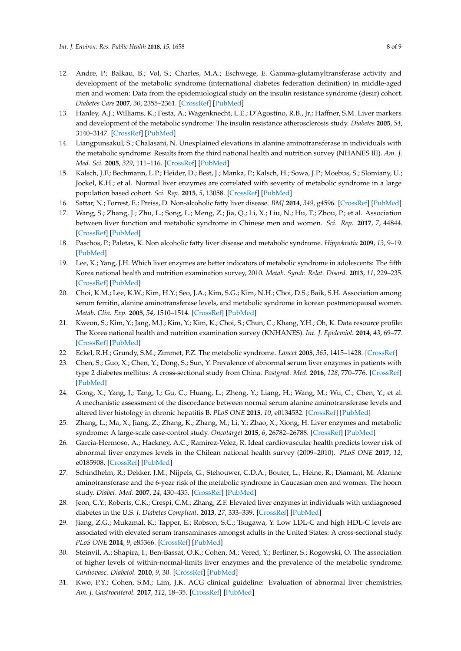- 12. Andre, P.; Balkau, B.; Vol, S.; Charles, M.A.; Eschwege, E. Gamma-glutamyltransferase activity and development of the metabolic syndrome (international diabetes federation definition) in middle-aged men and women: Data from the epidemiological study on the insulin resistance syndrome (desir) cohort. *Diabetes Care* **2007**, *30*, 2355–2361. [\[CrossRef\]](http://dx.doi.org/10.2337/dc07-0440) [\[PubMed\]](http://www.ncbi.nlm.nih.gov/pubmed/17586745)
- <span id="page-7-1"></span>13. Hanley, A.J.; Williams, K.; Festa, A.; Wagenknecht, L.E.; D'Agostino, R.B., Jr.; Haffner, S.M. Liver markers and development of the metabolic syndrome: The insulin resistance atherosclerosis study. *Diabetes* **2005**, *54*, 3140–3147. [\[CrossRef\]](http://dx.doi.org/10.2337/diabetes.54.11.3140) [\[PubMed\]](http://www.ncbi.nlm.nih.gov/pubmed/16249437)
- <span id="page-7-0"></span>14. Liangpunsakul, S.; Chalasani, N. Unexplained elevations in alanine aminotransferase in individuals with the metabolic syndrome: Results from the third national health and nutrition survey (NHANES III). *Am. J. Med. Sci.* **2005**, *329*, 111–116. [\[CrossRef\]](http://dx.doi.org/10.1097/00000441-200503000-00001) [\[PubMed\]](http://www.ncbi.nlm.nih.gov/pubmed/15767815)
- <span id="page-7-2"></span>15. Kalsch, J.F.; Bechmann, L.P.; Heider, D.; Best, J.; Manka, P.; Kalsch, H.; Sowa, J.P.; Moebus, S.; Slomiany, U.; Jockel, K.H.; et al. Normal liver enzymes are correlated with severity of metabolic syndrome in a large population based cohort. *Sci. Rep.* **2015**, *5*, 13058. [\[CrossRef\]](http://dx.doi.org/10.1038/srep13058) [\[PubMed\]](http://www.ncbi.nlm.nih.gov/pubmed/26269425)
- <span id="page-7-3"></span>16. Sattar, N.; Forrest, E.; Preiss, D. Non-alcoholic fatty liver disease. *BMJ* **2014**, *349*, g4596. [\[CrossRef\]](http://dx.doi.org/10.1136/bmj.g4596) [\[PubMed\]](http://www.ncbi.nlm.nih.gov/pubmed/25239614)
- <span id="page-7-4"></span>17. Wang, S.; Zhang, J.; Zhu, L.; Song, L.; Meng, Z.; Jia, Q.; Li, X.; Liu, N.; Hu, T.; Zhou, P.; et al. Association between liver function and metabolic syndrome in Chinese men and women. *Sci. Rep.* **2017**, *7*, 44844. [\[CrossRef\]](http://dx.doi.org/10.1038/srep44844) [\[PubMed\]](http://www.ncbi.nlm.nih.gov/pubmed/28317840)
- <span id="page-7-5"></span>18. Paschos, P.; Paletas, K. Non alcoholic fatty liver disease and metabolic syndrome. *Hippokratia* **2009**, *13*, 9–19. [\[PubMed\]](http://www.ncbi.nlm.nih.gov/pubmed/19240815)
- <span id="page-7-6"></span>19. Lee, K.; Yang, J.H. Which liver enzymes are better indicators of metabolic syndrome in adolescents: The fifth Korea national health and nutrition examination survey, 2010. *Metab. Syndr. Relat. Disord.* **2013**, *11*, 229–235. [\[CrossRef\]](http://dx.doi.org/10.1089/met.2012.0153) [\[PubMed\]](http://www.ncbi.nlm.nih.gov/pubmed/23451816)
- <span id="page-7-7"></span>20. Choi, K.M.; Lee, K.W.; Kim, H.Y.; Seo, J.A.; Kim, S.G.; Kim, N.H.; Choi, D.S.; Baik, S.H. Association among serum ferritin, alanine aminotransferase levels, and metabolic syndrome in korean postmenopausal women. *Metab. Clin. Exp.* **2005**, *54*, 1510–1514. [\[CrossRef\]](http://dx.doi.org/10.1016/j.metabol.2005.05.018) [\[PubMed\]](http://www.ncbi.nlm.nih.gov/pubmed/16253641)
- <span id="page-7-8"></span>21. Kweon, S.; Kim, Y.; Jang, M.J.; Kim, Y.; Kim, K.; Choi, S.; Chun, C.; Khang, Y.H.; Oh, K. Data resource profile: The Korea national health and nutrition examination survey (KNHANES). *Int. J. Epidemiol.* **2014**, *43*, 69–77. [\[CrossRef\]](http://dx.doi.org/10.1093/ije/dyt228) [\[PubMed\]](http://www.ncbi.nlm.nih.gov/pubmed/24585853)
- <span id="page-7-9"></span>22. Eckel, R.H.; Grundy, S.M.; Zimmet, P.Z. The metabolic syndrome. *Lancet* **2005**, *365*, 1415–1428. [\[CrossRef\]](http://dx.doi.org/10.1016/S0140-6736(05)66378-7)
- <span id="page-7-10"></span>23. Chen, S.; Guo, X.; Chen, Y.; Dong, S.; Sun, Y. Prevalence of abnormal serum liver enzymes in patients with type 2 diabetes mellitus: A cross-sectional study from China. *Postgrad. Med.* **2016**, *128*, 770–776. [\[CrossRef\]](http://dx.doi.org/10.1080/00325481.2016.1242366) [\[PubMed\]](http://www.ncbi.nlm.nih.gov/pubmed/27681272)
- <span id="page-7-11"></span>24. Gong, X.; Yang, J.; Tang, J.; Gu, C.; Huang, L.; Zheng, Y.; Liang, H.; Wang, M.; Wu, C.; Chen, Y.; et al. A mechanistic assessment of the discordance between normal serum alanine aminotransferase levels and altered liver histology in chronic hepatitis B. *PLoS ONE* **2015**, *10*, e0134532. [\[CrossRef\]](http://dx.doi.org/10.1371/journal.pone.0134532) [\[PubMed\]](http://www.ncbi.nlm.nih.gov/pubmed/26230094)
- <span id="page-7-12"></span>25. Zhang, L.; Ma, X.; Jiang, Z.; Zhang, K.; Zhang, M.; Li, Y.; Zhao, X.; Xiong, H. Liver enzymes and metabolic syndrome: A large-scale case-control study. *Oncotarget* **2015**, *6*, 26782–26788. [\[CrossRef\]](http://dx.doi.org/10.18632/oncotarget.5792) [\[PubMed\]](http://www.ncbi.nlm.nih.gov/pubmed/26449189)
- <span id="page-7-13"></span>26. Garcia-Hermoso, A.; Hackney, A.C.; Ramirez-Velez, R. Ideal cardiovascular health predicts lower risk of abnormal liver enzymes levels in the Chilean national health survey (2009–2010). *PLoS ONE* **2017**, *12*, e0185908. [\[CrossRef\]](http://dx.doi.org/10.1371/journal.pone.0185908) [\[PubMed\]](http://www.ncbi.nlm.nih.gov/pubmed/29049384)
- <span id="page-7-14"></span>27. Schindhelm, R.; Dekker, J.M.; Nijpels, G.; Stehouwer, C.D.A.; Bouter, L.; Heine, R.; Diamant, M. Alanine aminotransferase and the 6-year risk of the metabolic syndrome in Caucasian men and women: The hoorn study. *Diabet. Med.* **2007**, *24*, 430–435. [\[CrossRef\]](http://dx.doi.org/10.1111/j.1464-5491.2007.02100.x) [\[PubMed\]](http://www.ncbi.nlm.nih.gov/pubmed/17388959)
- <span id="page-7-15"></span>28. Jeon, C.Y.; Roberts, C.K.; Crespi, C.M.; Zhang, Z.F. Elevated liver enzymes in individuals with undiagnosed diabetes in the U.S. *J. Diabetes Complicat.* **2013**, *27*, 333–339. [\[CrossRef\]](http://dx.doi.org/10.1016/j.jdiacomp.2013.04.005) [\[PubMed\]](http://www.ncbi.nlm.nih.gov/pubmed/23683663)
- <span id="page-7-16"></span>29. Jiang, Z.G.; Mukamal, K.; Tapper, E.; Robson, S.C.; Tsugawa, Y. Low LDL-C and high HDL-C levels are associated with elevated serum transaminases amongst adults in the United States: A cross-sectional study. *PLoS ONE* **2014**, *9*, e85366. [\[CrossRef\]](http://dx.doi.org/10.1371/journal.pone.0085366) [\[PubMed\]](http://www.ncbi.nlm.nih.gov/pubmed/24454851)
- <span id="page-7-17"></span>30. Steinvil, A.; Shapira, I.; Ben-Bassat, O.K.; Cohen, M.; Vered, Y.; Berliner, S.; Rogowski, O. The association of higher levels of within-normal-limits liver enzymes and the prevalence of the metabolic syndrome. *Cardiovasc. Diabetol.* **2010**, *9*, 30. [\[CrossRef\]](http://dx.doi.org/10.1186/1475-2840-9-30) [\[PubMed\]](http://www.ncbi.nlm.nih.gov/pubmed/20633271)
- <span id="page-7-18"></span>31. Kwo, P.Y.; Cohen, S.M.; Lim, J.K. ACG clinical guideline: Evaluation of abnormal liver chemistries. *Am. J. Gastroenterol.* **2017**, *112*, 18–35. [\[CrossRef\]](http://dx.doi.org/10.1038/ajg.2016.517) [\[PubMed\]](http://www.ncbi.nlm.nih.gov/pubmed/27995906)